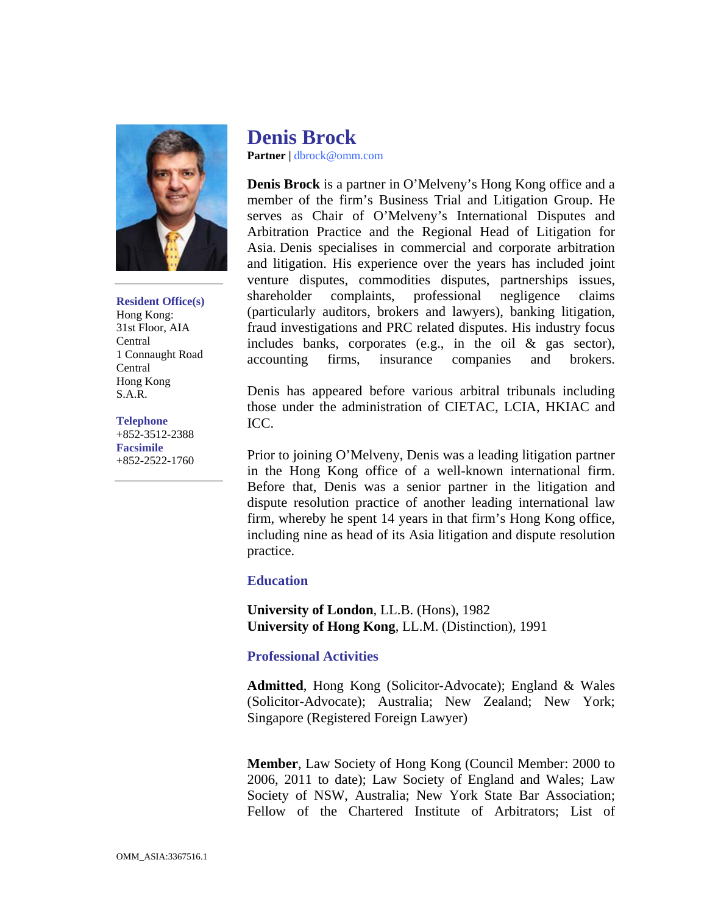

**Resident Office(s)**  Hong Kong: 31st Floor, AIA Central 1 Connaught Road Central Hong Kong S.A.R.

## **Telephone**

+852-3512-2388 **Facsimile**  +852-2522-1760

## **Denis Brock**

**Partner |** dbrock@omm.com

**Denis Brock** is a partner in O'Melveny's Hong Kong office and a member of the firm's Business Trial and Litigation Group. He serves as Chair of O'Melveny's International Disputes and Arbitration Practice and the Regional Head of Litigation for Asia. Denis specialises in commercial and corporate arbitration and litigation. His experience over the years has included joint venture disputes, commodities disputes, partnerships issues, shareholder complaints, professional negligence claims (particularly auditors, brokers and lawyers), banking litigation, fraud investigations and PRC related disputes. His industry focus includes banks, corporates (e.g., in the oil & gas sector), accounting firms, insurance companies and brokers.

Denis has appeared before various arbitral tribunals including those under the administration of CIETAC, LCIA, HKIAC and ICC.

Prior to joining O'Melveny, Denis was a leading litigation partner in the Hong Kong office of a well-known international firm. Before that, Denis was a senior partner in the litigation and dispute resolution practice of another leading international law firm, whereby he spent 14 years in that firm's Hong Kong office, including nine as head of its Asia litigation and dispute resolution practice.

## **Education**

**University of London**, LL.B. (Hons), 1982 **University of Hong Kong**, LL.M. (Distinction), 1991

## **Professional Activities**

**Admitted**, Hong Kong (Solicitor-Advocate); England & Wales (Solicitor-Advocate); Australia; New Zealand; New York; Singapore (Registered Foreign Lawyer)

**Member**, Law Society of Hong Kong (Council Member: 2000 to 2006, 2011 to date); Law Society of England and Wales; Law Society of NSW, Australia; New York State Bar Association; Fellow of the Chartered Institute of Arbitrators; List of